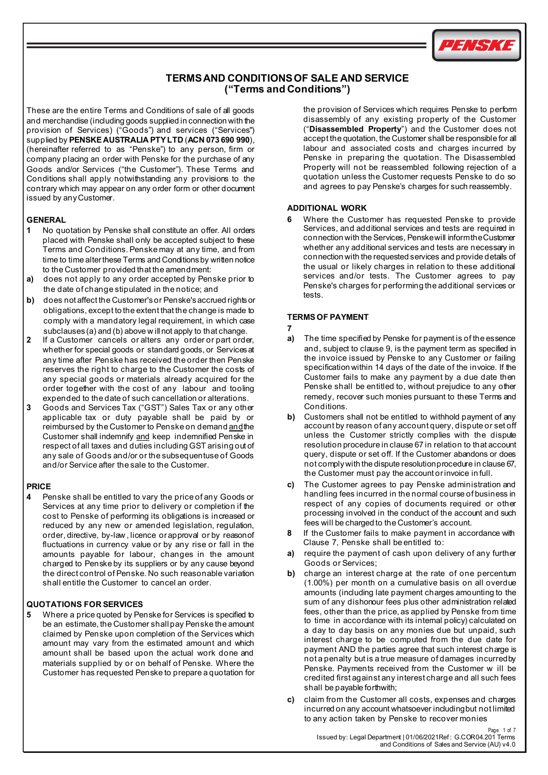

# **TERMSAND CONDITIONSOF SALE AND SERVICE ("Terms and Conditions")**

These are the entire Terms and Conditions of sale of all goods and merchandise (including goods supplied in connection with the provision of Services) ("Goods") and services ("Services") supplied by **PENSKE AUSTRALIA PTY LTD** (**ACN 073 690 990**), (hereinafter referred to as "Penske") to any person, firm or company placing an order with Penske for the purchase of any Goods and/or Services ("the Customer"). These Terms and Conditions shall apply notwithstanding any provisions to the contrary which may appear on any order form or other document issued by any Customer.

# **GENERAL**

- **1** No quotation by Penske shall constitute an offer. All orders placed with Penske shall only be accepted subject to these Terms and Conditions. Penske may at any time, and from time to time alter these Terms and Conditions by written notice to the Customer provided that the amendment:
- **a)** does not apply to any order accepted by Penske prior to the date of change stipulated in the notice; and
- **b)** does not affect the Customer's or Penske's accrued rights or obligations, except to the extent that the change is made to comply with a mandatory legal requirement, in which case subclauses (a) and (b) above w ill not apply to that change.
- **2** If a Customer cancels or alters any order or part order, whether for special goods or standard goods, or Services at any time after Penske has received the order then Penske reserves the right to charge to the Customer the costs of any special goods or materials already acquired for the order together with the cost of any labour and tooling expended to the date of such cancellation or alterations.
- **3** Goods and Services Tax ("GST") Sales Tax or any other applicable tax or duty payable shall be paid by or reimbursed by the Customer to Penske on demand andthe Customer shall indemnify and keep indemnified Penske in respect of all taxes and duties including GST arising out of any sale of Goods and/or or the subsequentuse of Goods and/or Service after the sale to the Customer.

## **PRICE**

**4** Penske shall be entitled to vary the price of any Goods or Services at any time prior to delivery or completion if the cost to Penske of performing its obligations is increased or reduced by any new or amended legislation, regulation, order, directive, by-law , licence or approval or by reasonof fluctuations in currency value or by any rise or fall in the amounts payable for labour, changes in the amount charged to Penske by its suppliers or by any cause beyond the direct control of Penske. No such reasonable variation shall entitle the Customer to cancel an order.

## **QUOTATIONS FOR SERVICES**

**5** Where a price quoted by Penske for Services is specified to be an estimate, the Customer shall pay Penske the amount claimed by Penske upon completion of the Services which amount may vary from the estimated amount and which amount shall be based upon the actual work done and materials supplied by or on behalf of Penske. Where the Customer has requested Penske to prepare a quotation for the provision of Services which requires Penske to perform disassembly of any existing property of the Customer ("**Disassembled Property**") and the Customer does not accept the quotation, the Customer shall be responsible for all labour and associated costs and charges incurred by Penske in preparing the quotation. The Disassembled Property will not be reassembled following rejection of a quotation unless the Customer requests Penske to do so and agrees to pay Penske's charges for such reassembly.

## **ADDITIONAL WORK**

**6** Where the Customer has requested Penske to provide Services, and additional services and tests are required in connection with the Services, Penskewill informtheCustomer whether any additional services and tests are necessary in connection with the requested services and provide details of the usual or likely charges in relation to these additional services and/or tests. The Customer agrees to pay Penske's charges for performing the additional services or tests.

## **TERMSOF PAYMENT**

### **7**

- **a)** The time specified by Penske for payment is of the essence and, subject to clause 9, is the payment term as specified in the invoice issued by Penske to any Customer or failing specification within 14 days of the date of the invoice. If the Customer fails to make any payment by a due date then Penske shall be entitled to, without prejudice to any other remedy, recover such monies pursuant to these Terms and **Conditions**
- **b)** Customers shall not be entitled to withhold payment of any account by reason of any account query, dispute or set off unless the Customer strictly complies with the dispute resolution procedure in clause 67 in relation to that account query, dispute or set off. If the Customer abandons or does not comply with the dispute resolution procedure in clause 67, the Customer must pay the account orinvoice in full.
- **c)** The Customer agrees to pay Penske administration and handling fees incurred in the normal course of business in respect of any copies of documents required or other processing involved in the conduct of the account and such fees will be charged to the Customer's account.
- **8** If the Customer fails to make payment in accordance with Clause 7, Penske shall be entitled to:
- **a)** require the payment of cash upon delivery of any further Goods or Services;
- **b)** charge an interest charge at the rate of one percentum (1.00%) per month on a cumulative basis on all overdue amounts (including late payment charges amounting to the sum of any dishonour fees plus other administration related fees, other than the price, as applied by Penske from time to time in accordance with its internal policy) calculated on a day to day basis on any monies due but unpaid, such interest charge to be computed from the due date for payment AND the parties agree that such interest charge is not a penalty but is a true measure of damages incurredby Penske. Payments received from the Customer w ill be credited first against any interest charge and all such fees shall be payable forthwith;
- **c)** claim from the Customer all costs, expenses and charges incurred on any account whatsoever includingbut not limited to any action taken by Penske to recover monies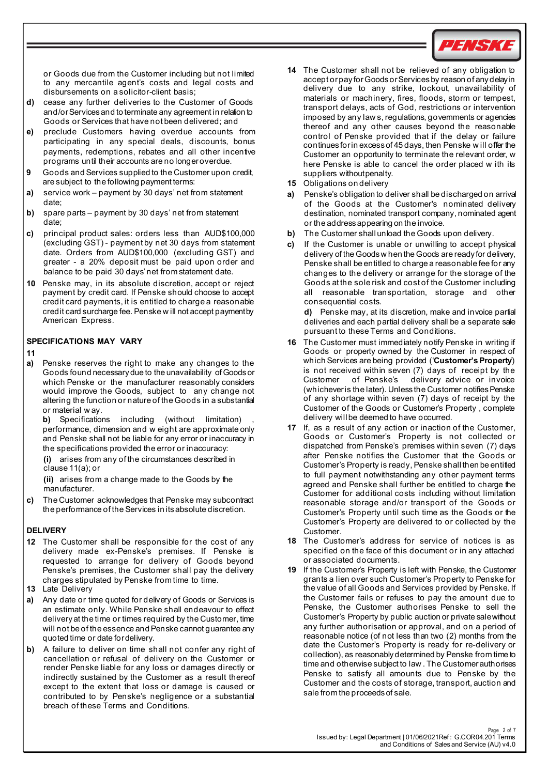

or Goods due from the Customer including but not limited to any mercantile agent's costs and legal costs and disbursements on a solicitor-client basis;

- **d)** cease any further deliveries to the Customer of Goods and/or Services and to terminate any agreement in relation to Goods or Services that have not been delivered; and
- **e)** preclude Customers having overdue accounts from participating in any special deals, discounts, bonus payments, redemptions, rebates and all other incentive programs until their accounts are no longeroverdue.
- **9** Goods and Services supplied to the Customer upon credit, are subject to the following payment terms:
- **a)** service work payment by 30 days' net from statement date;
- **b)** spare parts payment by 30 days' net from statement date;
- **c)** principal product sales: orders less than AUD\$100,000 (excluding GST) - payment by net 30 days from statement date. Orders from AUD\$100,000 (excluding GST) and greater - a 20% deposit must be paid upon order and balance to be paid 30 days' net from statement date.
- **10** Penske may, in its absolute discretion, accept or reject payment by credit card. If Penske should choose to accept credit card payments, it is entitled to charge a reasonable credit card surcharge fee. Penske w ill not accept paymentby American Express.

## **SPECIFICATIONS MAY VARY**

#### **11**

**a)** Penske reserves the right to make any changes to the Goods found necessary due to the unavailability of Goodsor which Penske or the manufacturer reasonably considers would improve the Goods, subject to any change not altering the function or nature of the Goods in a substantial or material w ay.

**b)** Specifications including (without limitation) performance, dimension and w eight are approximate only and Penske shall not be liable for any error or inaccuracy in the specifications provided the error or inaccuracy:

**(i)** arises from any of the circumstances described in clause 11(a); or

**(ii)** arises from a change made to the Goods by the manufacturer.

**c)** The Customer acknowledges that Penske may subcontract the performance of the Services in its absolute discretion.

## **DELIVERY**

- **12** The Customer shall be responsible for the cost of any delivery made ex-Penske's premises. If Penske is requested to arrange for delivery of Goods beyond Penske's premises, the Customer shall pay the delivery charges stipulated by Penske from time to time.
- **13** Late Delivery
- **a)** Any date or time quoted for delivery of Goods or Services is an estimate only. While Penske shall endeavour to effect delivery at the time or times required by the Customer, time will not be of the essence and Penske cannot guarantee any quoted time or date fordelivery.
- **b)** A failure to deliver on time shall not confer any right of cancellation or refusal of delivery on the Customer or render Penske liable for any loss or damages directly or indirectly sustained by the Customer as a result thereof except to the extent that loss or damage is caused or contributed to by Penske's negligence or a substantial breach of these Terms and Conditions.
- **14** The Customer shall not be relieved of any obligation to accept or pay for Goods or Services by reason of any delay in delivery due to any strike, lockout, unavailability of materials or machinery, fires, floods, storm or tempest, transport delays, acts of God, restrictions or intervention imposed by any law s, regulations, governments or agencies thereof and any other causes beyond the reasonable control of Penske provided that if the delay or failure continues for in excess of 45 days, then Penske w ill offer the Customer an opportunity to terminate the relevant order, w here Penske is able to cancel the order placed w ith its suppliers without penalty.
- **15** Obligations on delivery
- **a)** Penske's obligation to deliver shall be discharged on arrival of the Goods at the Customer's nominated delivery destination, nominated transport company, nominated agent or the addressappearing on the invoice.
- **b)** The Customer shall unload the Goods upon delivery.
- **c)** If the Customer is unable or unwilling to accept physical delivery of the Goodsw hen the Goods are ready for delivery, Penske shall be entitled to charge a reasonable fee for any changes to the delivery or arrange for the storage of the Goods at the sole risk and cost of the Customer including all reasonable transportation, storage and other consequential costs.

**d)** Penske may, at its discretion, make and invoice partial deliveries and each partial delivery shall be a separate sale pursuant to these Terms and Conditions.

- **16** The Customer must immediately notify Penske in writing if Goods or property owned by the Customer in respect of which Services are being provided ('**Customer's Property**') is not received within seven (7) days of receipt by the Customer of Penske's delivery advice or invoice (whichever is the later). Unless the Customer notifies Penske of any shortage within seven (7) days of receipt by the Customer of the Goods or Customer's Property , complete delivery will be deemed to have occurred.
- **17** If, as a result of any action or inaction of the Customer, Goods or Customer's Property is not collected or dispatched from Penske's premises within seven (7) days after Penske notifies the Customer that the Goods or Customer's Property is ready, Penske shall then be entitled to full payment notwithstanding any other payment terms agreed and Penske shall further be entitled to charge the Customer for additional costs including without limitation reasonable storage and/or transport of the Goods or Customer's Property until such time as the Goods or the Customer's Property are delivered to or collected by the Customer.
- **18** The Customer's address for service of notices is as specified on the face of this document or in any attached or associated documents.
- **19** If the Customer's Property is left with Penske, the Customer grants a lien over such Customer's Property to Penske for the value of all Goods and Services provided by Penske. If the Customer fails or refuses to pay the amount due to Penske, the Customer authorises Penske to sell the Customer's Property by public auction or private salewithout any further authorisation or approval, and on a period of reasonable notice (of not less than two (2) months from the date the Customer's Property is ready for re-delivery or collection), as reasonably determined by Penske from time to time and otherwise subject to law . The Customerauthorises Penske to satisfy all amounts due to Penske by the Customer and the costs of storage, transport, auction and sale from the proceeds of sale.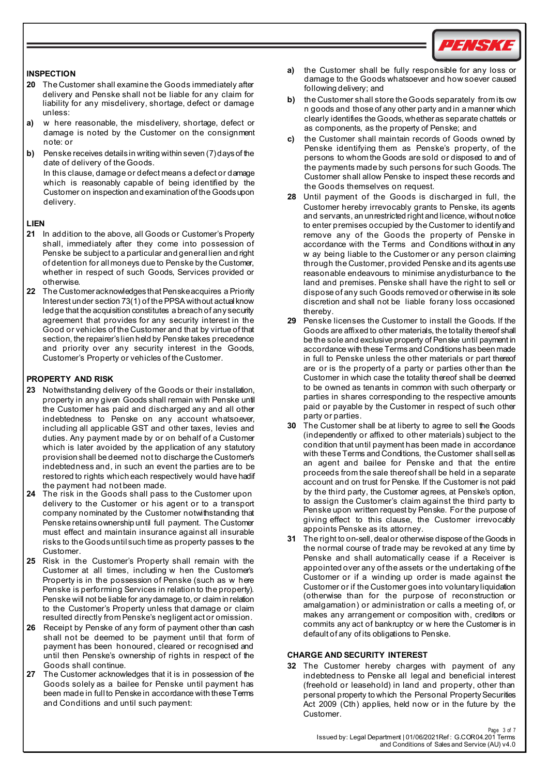

## **INSPECTION**

- **20** The Customer shall examine the Goods immediately after delivery and Penske shall not be liable for any claim for liability for any misdelivery, shortage, defect or damage unless:
- **a)** w here reasonable, the misdelivery, shortage, defect or damage is noted by the Customer on the consignment note: or
- **b)** Penske receives details in writing within seven (7) days of the date of delivery of the Goods. In this clause, damage or defect means a defect or damage which is reasonably capable of being identified by the Customer on inspection and examination of the Goods upon delivery.

## **LIEN**

- **21** In addition to the above, all Goods or Customer's Property shall, immediately after they come into possession of Penske be subject to a particular and general lien and right of detention for all moneys due to Penske by the Customer, whether in respect of such Goods, Services provided or otherwise.
- **22** The Customeracknowledges that Penskeacquires a Priority Interest under section 73(1) of the PPSA without actual know ledge that the acquisition constitutes a breach of any security agreement that provides for any security interest in the Good or vehicles of the Customer and that by virtue of that section, the repairer's lien held by Penske takes precedence and priority over any security interest in the Goods, Customer's Property or vehicles of the Customer.

## **PROPERTY AND RISK**

- **23** Notwithstanding delivery of the Goods or their installation, property in any given Goods shall remain with Penske until the Customer has paid and discharged any and all other indebtedness to Penske on any account whatsoever, including all applicable GST and other taxes, levies and duties. Any payment made by or on behalf of a Customer which is later avoided by the application of any statutory provision shall be deemed not to discharge the Customer's indebtedness and, in such an event the parties are to be restored to rights which each respectively would have hadif the payment had not been made.
- **24** The risk in the Goods shall pass to the Customer upon delivery to the Customer or his agent or to a transport company nominated by the Customer notwithstanding that Penske retainsownership until full payment. The Customer must effect and maintain insurance against all insurable risks to the Goods until such time as property passes to the **Customer**
- **25** Risk in the Customer's Property shall remain with the Customer at all times, including w hen the Customer's Property is in the possession of Penske (such as w here Penske is performing Services in relation to the property). Penske will not be liable for any damage to, or claim in relation to the Customer's Property unless that damage or claim resulted directly from Penske's negligent act or omission.
- **26** Receipt by Penske of any form of payment other than cash shall not be deemed to be payment until that form of payment has been honoured, cleared or recognised and until then Penske's ownership of rights in respect of the Goods shall continue.
- **27** The Customer acknowledges that it is in possession of the Goods solely as a bailee for Penske until payment has been made in full to Penske in accordance with these Terms and Conditions and until such payment:
- **a)** the Customer shall be fully responsible for any loss or damage to the Goods whatsoever and how soever caused following delivery; and
- **b)** the Customer shall store the Goods separately from its ow n goods and those of any other party and in a manner which clearly identifies the Goods, whether as separate chattels or as components, as the property of Penske; and
- **c)** the Customer shall maintain records of Goods owned by Penske identifying them as Penske's property, of the persons to whom the Goods are sold or disposed to and of the payments made by such persons for such Goods. The Customer shall allow Penske to inspect these records and the Goods themselves on request.
- **28** Until payment of the Goods is discharged in full, the Customer hereby irrevocably grants to Penske, its agents and servants, an unrestricted right and licence, without notice to enter premises occupied by the Customer to identify and remove any of the Goods the property of Penske in accordance with the Terms and Conditions without in any w ay being liable to the Customer or any person claiming through the Customer, provided Penske and its agents use reasonable endeavours to minimise anydisturbance to the land and premises. Penske shall have the right to sell or dispose of any such Goods removed or otherwise in its sole discretion and shall not be liable forany loss occasioned thereby.
- **29** Penske licenses the Customer to install the Goods. If the Goods are affixed to other materials, the totality thereof shall be the sole and exclusive property of Penske until payment in accordance with these Terms and Conditions has been made in full to Penske unless the other materials or part thereof are or is the property of a party or parties other than the Customer in which case the totality thereof shall be deemed to be owned as tenants in common with such otherparty or parties in shares corresponding to the respective amounts paid or payable by the Customer in respect of such other party or parties.
- **30** The Customer shall be at liberty to agree to sell the Goods (independently or affixed to other materials) subject to the condition that until payment has been made in accordance with these Terms and Conditions, the Customer shall sell as an agent and bailee for Penske and that the entire proceeds from the sale thereof shall be held in a separate account and on trust for Penske. If the Customer is not paid by the third party, the Customer agrees, at Penske's option, to assign the Customer's claim against the third party to Penske upon written request by Penske. For the purpose of giving effect to this clause, the Customer irrevocably appoints Penske as its attorney.
- **31** The right to on-sell, deal or otherwise dispose of the Goods in the normal course of trade may be revoked at any time by Penske and shall automatically cease if a Receiver is appointed over any of the assets or the undertaking of the Customer or if a winding up order is made against the Customer or if the Customer goes into voluntary liquidation (otherwise than for the purpose of reconstruction or amalgamation) or administration or calls a meeting of, or makes any arrangement or composition with, creditors or commits any act of bankruptcy or w here the Customer is in default of any of its obligations to Penske.

## **CHARGE AND SECURITY INTEREST**

**32** The Customer hereby charges with payment of any indebtedness to Penske all legal and beneficial interest (freehold or leasehold) in land and property, other than personal property to which the Personal Property Securities Act 2009 (Cth) applies, held now or in the future by the Customer.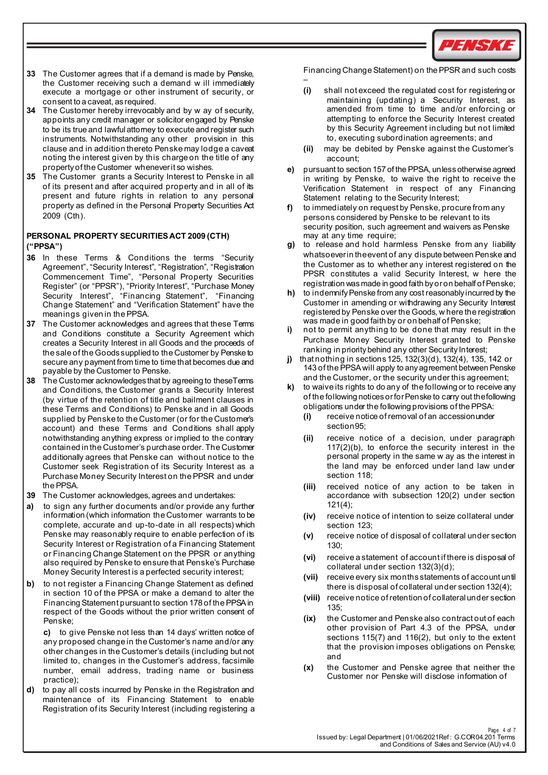

- **33** The Customer agrees that if a demand is made by Penske, the Customer receiving such a demand w ill immediately execute a mortgage or other instrument of security, or consent to a caveat, as required.
- **34** The Customer hereby irrevocably and by w ay of security, appoints any credit manager or solicitor engaged by Penske to be its true and lawful attorney to execute and register such instruments. Notwithstanding any other provision in this clause and in addition thereto Penske may lodge a caveat noting the interest given by this charge on the title of any propertyof the Customer wheneverit so wishes.
- **35** The Customer grants a Security Interest to Penske in all of its present and after acquired property and in all of its present and future rights in relation to any personal property as defined in the Personal Property Securities Act 2009 (Cth).

## **PERSONAL PROPERTY SECURITIES ACT 2009 (CTH) ("PPSA")**

- **36** In these Terms & Conditions the terms "Security Agreement", "Security Interest", "Registration", "Registration Commencement Time", "Personal Property Securities Register" (or "PPSR"), "Priority Interest", "Purchase Money Security Interest", "Financing Statement", "Financing Change Statement" and "Verification Statement" have the meanings given in the PPSA.
- **37** The Customer acknowledges and agrees that these Terms and Conditions constitute a Security Agreement which creates a Security Interest in all Goods and the proceeds of the sale of the Goods supplied to the Customer by Penske to secure any payment from time to time that becomes due and payable by the Customer to Penske.
- **38** The Customer acknowledges that by agreeing to theseTerms and Conditions, the Customer grants a Security Interest (by virtue of the retention of title and bailment clauses in these Terms and Conditions) to Penske and in all Goods supplied by Penske to the Customer (or for the Customer's account) and these Terms and Conditions shall apply notwithstanding anything express or implied to the contrary contained in the Customer's purchase order. The Customer additionally agrees that Penske can without notice to the Customer seek Registration of its Security Interest as a Purchase Money Security Interest on the PPSR and under the PPSA.
- **39** The Customer acknowledges, agrees and undertakes:
- **a)** to sign any further documents and/or provide any further information (which information the Customer warrants to be complete, accurate and up-to-date in all respects) which Penske may reasonably require to enable perfection of its Security Interest or Registration of a Financing Statement or Financing Change Statement on the PPSR or anything also required by Penske to ensure that Penske's Purchase Money Security Interest is a perfected security interest;
- **b)** to not register a Financing Change Statement as defined in section 10 of the PPSA or make a demand to alter the Financing Statement pursuant to section 178 of the PPSAin respect of the Goods without the prior written consent of Penske;

**c)** to give Penske not less than 14 days' written notice of any proposed change in the Customer's name and/or any other changes in the Customer's details (including but not limited to, changes in the Customer's address, facsimile number, email address, trading name or business practice);

**d)** to pay all costs incurred by Penske in the Registration and maintenance of its Financing Statement to enable Registration of its Security Interest (including registering a Financing Change Statement) on the PPSR and such costs

- **(i)** shall not exceed the regulated cost for registering or maintaining (updating) a Security Interest, as amended from time to time and/or enforcing or attempting to enforce the Security Interest created by this Security Agreement including but not limited to, executing subordination agreements; and
- **(ii)** may be debited by Penske against the Customer's account;
- **e)** pursuant to section 157 of the PPSA, unlessotherwise agreed in writing by Penske, to waive the right to receive the Verification Statement in respect of any Financing Statement relating to the Security Interest;
- **f)** to immediately on request by Penske, procure from any persons considered by Penske to be relevant to its security position, such agreement and waivers as Penske may at any time require;
- **g)** to release and hold harmless Penske from any liability whatsoeverin theevent of any dispute between Penske and the Customer as to whether any interest registered on the PPSR constitutes a valid Security Interest, w here the registration wasmade in good faith byoron behalf of Penske;
- **h)** to indemnifyPenske from any cost reasonably incurred by the Customer in amending or withdrawing any Security Interest registered by Penske over the Goods, w here the registration was made in good faith by or on behalf of Penske;
- **i)** not to permit anything to be done that may result in the Purchase Money Security Interest granted to Penske ranking in priority behind any other Security Interest;
- **j)** that nothing in sections125, 132(3)(d), 132(4), 135, 142 or 143 of the PPSA will apply to anyagreement between Penske and the Customer, or the security under this agreement;
- **k)** to waive its rights to do any of the following or to receive any of the following notices or for Penske to carry out thefollowing obligations under the following provisions of the PPSA:
	- **(i)** receive notice of removal of an accession under section95;
	- **(ii)** receive notice of a decision, under paragraph 117(2)(b), to enforce the security interest in the personal property in the same w ay as the interest in the land may be enforced under land law under section 118;
	- **(iii)** received notice of any action to be taken in accordance with subsection 120(2) under section 121(4);
	- **(iv)** receive notice of intention to seize collateral under section 123;
	- **(v)** receive notice of disposal of collateral under section 130;
	- **(vi)** receive a statement of account if there is disposal of collateral under section 132(3)(d);
	- **(vii)** receive every six months statements of account until there is disposal of collateral under section 132(4);
	- **(viii)** receive notice of retention of collateral under section 135;
	- **(ix)** the Customer and Penske also contract out of each other provision of Part 4.3 of the PPSA, under sections 115(7) and 116(2), but only to the extent that the provision imposes obligations on Penske; and
	- **(x)** the Customer and Penske agree that neither the Customer nor Penske will disclose information of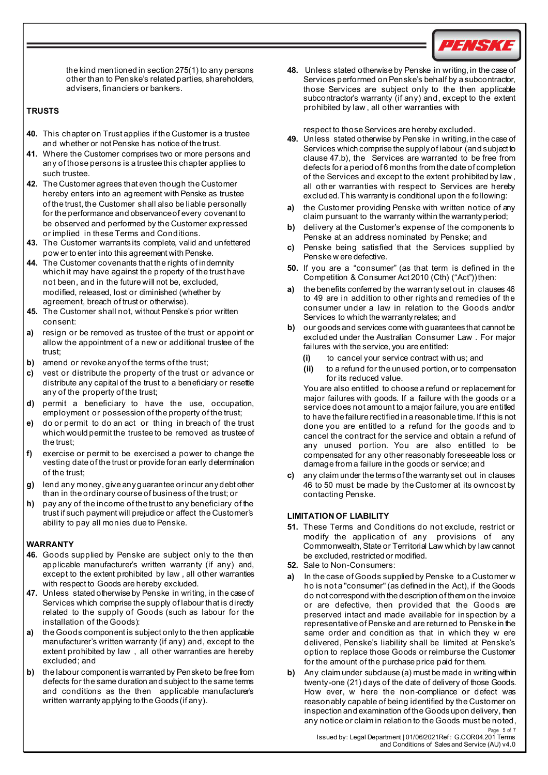

the kind mentioned in section 275(1) to any persons other than to Penske's related parties, shareholders, advisers, financiers or bankers.

## **TRUSTS**

- **40.** This chapter on Trust applies if the Customer is a trustee and whether or not Penske has notice of the trust.
- **41.** Where the Customer comprises two or more persons and any of those persons is a trustee this chapter applies to such trustee.
- **42.** The Customer agrees that even though the Customer hereby enters into an agreement with Penske as trustee of the trust, the Customer shall also be liable personally for the performance and observance of every covenant to be observed and performed by the Customer expressed or implied in these Terms and Conditions.
- **43.** The Customer warrants its complete, valid and unfettered pow er to enter into this agreement with Penske.
- **44.** The Customer covenants that the rights of indemnity which it may have against the property of the trust have not been, and in the future will not be, excluded, modified, released, lost or diminished (whether by agreement, breach of trust or otherwise).
- **45.** The Customer shall not, without Penske's prior written consent:
- **a)** resign or be removed as trustee of the trust or appoint or allow the appointment of a new or additional trustee of the trust;
- **b)** amend or revoke any of the terms of the trust;
- **c)** vest or distribute the property of the trust or advance or distribute any capital of the trust to a beneficiary or resettle any of the property of the trust;
- **d)** permit a beneficiary to have the use, occupation, employment or possession of the property of the trust;
- **e)** do or permit to do an act or thing in breach of the trust which would permit the trustee to be removed as trustee of the trust;
- **f)** exercise or permit to be exercised a power to change the vesting date of the trust or provide foran early determination of the trust;
- **g)** lend any money, give any guarantee or incur any debt other than in the ordinary course of business of the trust; or
- **h)** pay any of the income of the trust to any beneficiary of the trust if such payment will prejudice or affect the Customer's ability to pay all monies due to Penske.

# **WARRANTY**

- **46.** Goods supplied by Penske are subject only to the then applicable manufacturer's written warranty (if any) and, except to the extent prohibited by law , all other warranties with respect to Goods are hereby excluded.
- **47.** Unless stated otherwise by Penske in writing, in the case of Services which comprise the supply of labour that is directly related to the supply of Goods (such as labour for the installation of the Goods):
- **a)** the Goods component is subject only to the then applicable manufacturer's written warranty (if any) and, except to the extent prohibited by law , all other warranties are hereby excluded; and
- **b)** the labour component is warranted by Pensketo be free from defects for the same duration and subject to the same terms and conditions as the then applicable manufacturer's written warranty applying to the Goods (if any).

**48.** Unless stated otherwise by Penske in writing, in the case of Services performed on Penske's behalf by a subcontractor, those Services are subject only to the then applicable subcontractor's warranty (if any) and, except to the extent prohibited by law , all other warranties with

respect to those Services are hereby excluded.

- **49.** Unless stated otherwise by Penske in writing, in the case of Services which comprise the supplyof labour (and subject to clause 47.b), the Services are warranted to be free from defects for a period of 6 months from the date of completion of the Services and except to the extent prohibited by law , all other warranties with respect to Services are hereby excluded. This warranty is conditional upon the following:
- **a)** the Customer providing Penske with written notice of any claim pursuant to the warranty within the warrantyperiod;
- **b)** delivery at the Customer's expense of the components to Penske at an address nominated by Penske; and
- **c)** Penske being satisfied that the Services supplied by Penske w ere defective.
- **50.** If you are a "consumer" (as that term is defined in the Competition & Consumer Act 2010 (Cth) ("Act")) then:
- **a)** the benefits conferred by the warranty set out in clauses 46 to 49 are in addition to other rights and remedies of the consumer under a law in relation to the Goods and/or Services to which the warranty relates; and
- **b)** our goods and services come with guarantees that cannot be excluded under the Australian Consumer Law . For major failures with the service, you are entitled:
	- **(i)** to cancel your service contract with us; and
	- **(ii)** to a refund for the unused portion, or to compensation for its reduced value.

You are also entitled to choose a refund or replacement for major failures with goods. If a failure with the goods or a service does not amount to a major failure, you are entitled to have the failure rectified in a reasonable time. If this is not done you are entitled to a refund for the goods and to cancel the contract for the service and obtain a refund of any unused portion. You are also entitled to be compensated for any other reasonably foreseeable loss or damage from a failure in the goods or service; and

**c)** any claim under the termsof the warranty set out in clauses 46 to 50 must be made by the Customer at its owncost by contacting Penske.

## **LIMITATION OF LIABILITY**

- **51.** These Terms and Conditions do not exclude, restrict or modify the application of any provisions of any Commonwealth, State or Territorial Law which by law cannot be excluded, restricted or modified.
- **52.** Sale to Non-Consumers:
- **a)** In the case of Goods supplied by Penske to a Customer w ho is not a "consumer" (as defined in the Act), if the Goods do not correspond with the description of them on the invoice or are defective, then provided that the Goods are preserved intact and made available for inspection by a representative of Penske and are returned to Penske in the same order and condition as that in which they w ere delivered, Penske's liability shall be limited at Penske's option to replace those Goods or reimburse the Customer for the amount of the purchase price paid for them.
- Page 5 of 7 **b)** Any claim under subclause (a) must be made in writing within twenty-one (21) days of the date of delivery of those Goods. How ever, w here the non-compliance or defect was reasonably capable of being identified by the Customer on inspection and examination of the Goods upon delivery, then any notice or claim in relation to the Goods must be noted,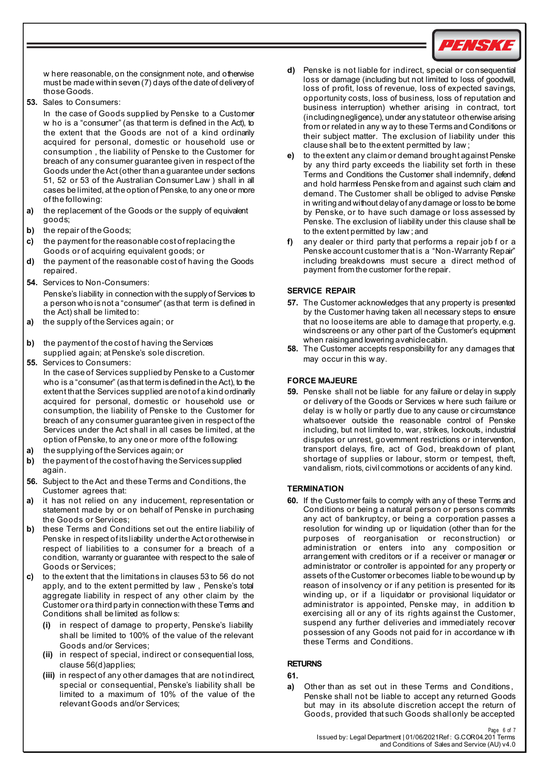

w here reasonable, on the consignment note, and otherwise must be made within seven (7) days of the date of delivery of those Goods.

**53.** Sales to Consumers:

In the case of Goods supplied by Penske to a Customer w ho is a "consumer" (as that term is defined in the Act), to the extent that the Goods are not of a kind ordinarily acquired for personal, domestic or household use or consumption , the liability of Penske to the Customer for breach of any consumer guarantee given in respect of the Goods under the Act (other than a guarantee under sections 51, 52 or 53 of the Australian Consumer Law ) shall in all cases be limited, at the option of Penske, to any one or more of the following:

- **a)** the replacement of the Goods or the supply of equivalent goods;
- **b)** the repair of the Goods;
- **c)** the payment for the reasonable cost of replacing the Goods or of acquiring equivalent goods; or
- **d)** the payment of the reasonable cost of having the Goods repaired.
- **54.** Services to Non-Consumers:

Penske's liability in connection with the supply of Services to a person who isnot a "consumer" (as that term is defined in the Act) shall be limited to:

- **a)** the supply of the Services again; or
- **b)** the payment of the cost of having the Services supplied again; at Penske's sole discretion.
- **55.** Services to Consumers:
- In the case of Services supplied by Penske to a Customer who is a "consumer" (as that term is defined in the Act), to the extent that the Services supplied are not of a kind ordinarily acquired for personal, domestic or household use or consumption, the liability of Penske to the Customer for breach of any consumer guarantee given in respect of the Services under the Act shall in all cases be limited, at the option of Penske, to any one or more of the following:
- **a)** the supplying of the Services again; or
- **b)** the payment of the cost of having the Services supplied again.
- **56.** Subject to the Act and these Terms and Conditions, the Customer agrees that:
- **a)** it has not relied on any inducement, representation or statement made by or on behalf of Penske in purchasing the Goods or Services;
- **b)** these Terms and Conditions set out the entire liability of Penske in respect of its liability under the Act or otherwise in respect of liabilities to a consumer for a breach of a condition, warranty or guarantee with respect to the sale of Goods or Services;
- <span id="page-5-0"></span>**c)** to the extent that the limitations in clauses 53 to 56 do not apply, and to the extent permitted by law , Penske's total aggregate liability in respect of any other claim by the Customer or a third party in connection with these Terms and Conditions shall be limited as follow s:
	- **(i)** in respect of damage to property, Penske's liability shall be limited to 100% of the value of the relevant Goods and/or Services;
	- **(ii)** in respect of special, indirect or consequential loss, clause 56[\(d\)a](#page-5-0)pplies;
	- **(iii)** in respect of any other damages that are not indirect, special or consequential, Penske's liability shall be limited to a maximum of 10% of the value of the relevant Goods and/or Services;
- **d)** Penske is not liable for indirect, special or consequential loss or damage (including but not limited to loss of goodwill, loss of profit, loss of revenue, loss of expected savings, opportunity costs, loss of business, loss of reputation and business interruption) whether arising in contract, tort (includingnegligence), under any statuteor otherwise arising from or related in any w ay to these Termsand Conditions or their subject matter. The exclusion of liability under this clause shall be to the extent permitted by law ;
- **e)** to the extent any claim or demand brought against Penske by any third party exceeds the liability set forth in these Terms and Conditions the Customer shall indemnify, defend and hold harmless Penske from and against such claim and demand. The Customer shall be obliged to advise Penske in writing and without delay of any damage or loss to be borne by Penske, or to have such damage or loss assessed by Penske. The exclusion of liability under this clause shall be to the extent permitted by law ; and
- **f)** any dealer or third party that performs a repair job f or a Penske account customer that is a "Non-Warranty Repair" including breakdowns must secure a direct method of payment from the customer forthe repair.

## **SERVICE REPAIR**

- **57.** The Customer acknowledges that any property is presented by the Customer having taken all necessary steps to ensure that no loose items are able to damage that property, e.g. windscreens or any other part of the Customer's equipment when raisingand lowering avehiclecabin.
- **58.** The Customer accepts responsibility for any damages that may occur in this w ay.

## **FORCE MAJEURE**

**59.** Penske shall not be liable for any failure or delay in supply or delivery of the Goods or Services w here such failure or delay is w holly or partly due to any cause or circumstance whatsoever outside the reasonable control of Penske including, but not limited to, war, strikes, lockouts, industrial disputes or unrest, government restrictions or intervention, transport delays, fire, act of God, breakdown of plant, shortage of supplies or labour, storm or tempest, theft, vandalism, riots, civil commotions or accidents of any kind.

## **TERMINATION**

**60.** If the Customer fails to comply with any of these Terms and Conditions or being a natural person or persons commits any act of bankruptcy, or being a corporation passes a resolution for winding up or liquidation (other than for the purposes of reorganisation or reconstruction) or administration or enters into any composition or arrangement with creditors or if a receiver or manager or administrator or controller is appointed for any property or assets of the Customer or becomes liable to be wound up by reason of insolvency or if any petition is presented for its winding up, or if a liquidator or provisional liquidator or administrator is appointed, Penske may, in addition to exercising all or any of its rights against the Customer, suspend any further deliveries and immediately recover possession of any Goods not paid for in accordance w ith these Terms and Conditions.

## **RETURNS**

## **61.**

**a)** Other than as set out in these Terms and Conditions , Penske shall not be liable to accept any returned Goods but may in its absolute discretion accept the return of Goods, provided that such Goods shall only be accepted